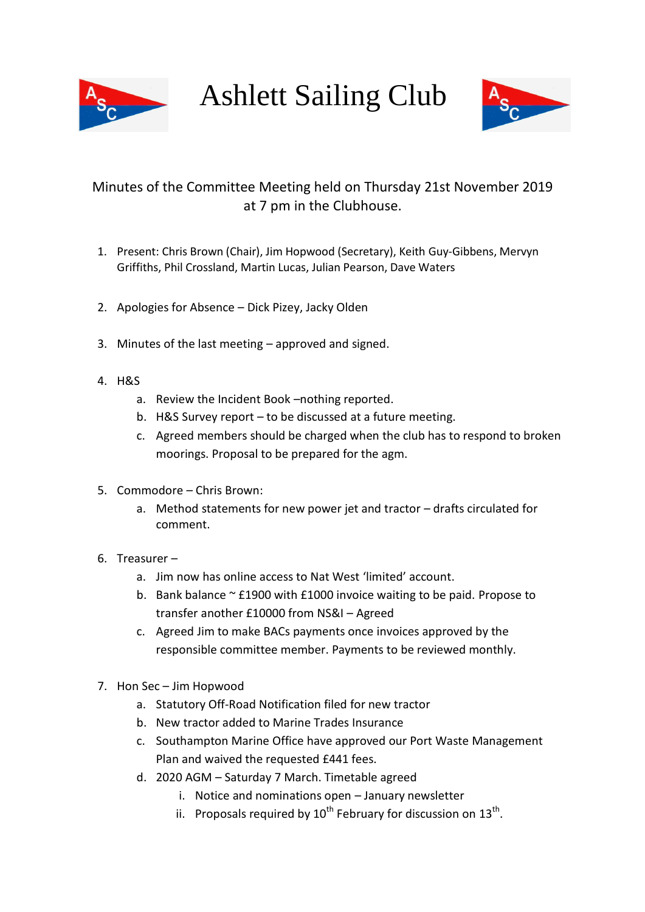

Ashlett Sailing Club



## Minutes of the Committee Meeting held on Thursday 21st November 2019 at 7 pm in the Clubhouse.

- 1. Present: Chris Brown (Chair), Jim Hopwood (Secretary), Keith Guy-Gibbens, Mervyn Griffiths, Phil Crossland, Martin Lucas, Julian Pearson, Dave Waters
- 2. Apologies for Absence Dick Pizey, Jacky Olden
- 3. Minutes of the last meeting approved and signed.
- 4. H&S
	- a. Review the Incident Book –nothing reported.
	- b. H&S Survey report to be discussed at a future meeting.
	- c. Agreed members should be charged when the club has to respond to broken moorings. Proposal to be prepared for the agm.
- 5. Commodore Chris Brown:
	- a. Method statements for new power jet and tractor drafts circulated for comment.
- 6. Treasurer
	- a. Jim now has online access to Nat West 'limited' account.
	- b. Bank balance ~ £1900 with £1000 invoice waiting to be paid. Propose to transfer another £10000 from NS&I – Agreed
	- c. Agreed Jim to make BACs payments once invoices approved by the responsible committee member. Payments to be reviewed monthly.
- 7. Hon Sec Jim Hopwood
	- a. Statutory Off-Road Notification filed for new tractor
	- b. New tractor added to Marine Trades Insurance
	- c. Southampton Marine Office have approved our Port Waste Management Plan and waived the requested £441 fees.
	- d. 2020 AGM Saturday 7 March. Timetable agreed
		- i. Notice and nominations open January newsletter
		- ii. Proposals required by  $10^{th}$  February for discussion on  $13^{th}$ .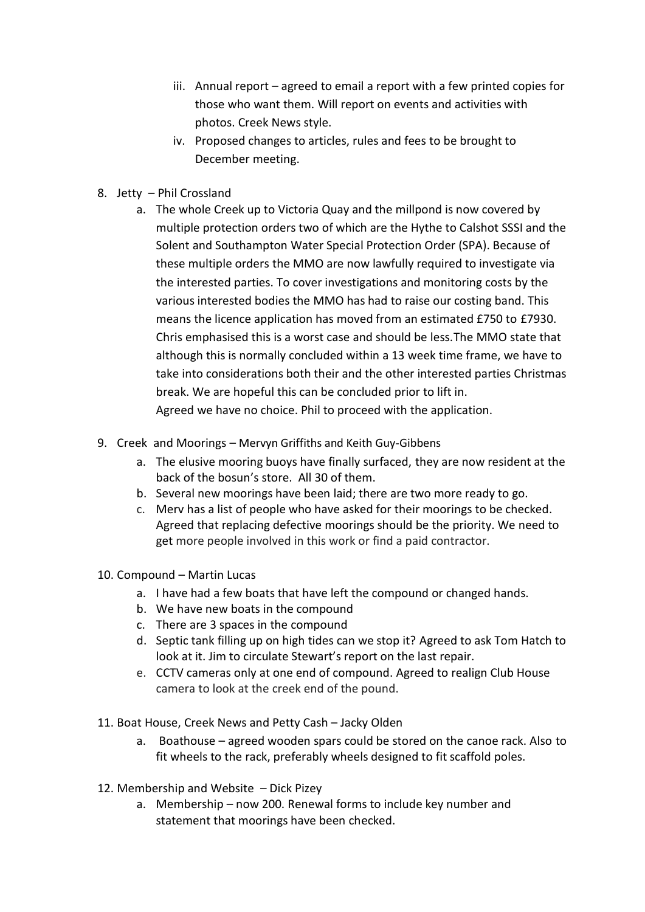- iii. Annual report agreed to email a report with a few printed copies for those who want them. Will report on events and activities with photos. Creek News style.
- iv. Proposed changes to articles, rules and fees to be brought to December meeting.
- 8. Jetty Phil Crossland
	- a. The whole Creek up to Victoria Quay and the millpond is now covered by multiple protection orders two of which are the Hythe to Calshot SSSI and the Solent and Southampton Water Special Protection Order (SPA). Because of these multiple orders the MMO are now lawfully required to investigate via the interested parties. To cover investigations and monitoring costs by the various interested bodies the MMO has had to raise our costing band. This means the licence application has moved from an estimated £750 to £7930. Chris emphasised this is a worst case and should be less.The MMO state that although this is normally concluded within a 13 week time frame, we have to take into considerations both their and the other interested parties Christmas break. We are hopeful this can be concluded prior to lift in. Agreed we have no choice. Phil to proceed with the application.
- 9. Creek and Moorings Mervyn Griffiths and Keith Guy-Gibbens
	- a. The elusive mooring buoys have finally surfaced, they are now resident at the back of the bosun's store. All 30 of them.
	- b. Several new moorings have been laid; there are two more ready to go.
	- c. Merv has a list of people who have asked for their moorings to be checked. Agreed that replacing defective moorings should be the priority. We need to get more people involved in this work or find a paid contractor.
- 10. Compound Martin Lucas
	- a. I have had a few boats that have left the compound or changed hands.
	- b. We have new boats in the compound
	- c. There are 3 spaces in the compound
	- d. Septic tank filling up on high tides can we stop it? Agreed to ask Tom Hatch to look at it. Jim to circulate Stewart's report on the last repair.
	- e. CCTV cameras only at one end of compound. Agreed to realign Club House camera to look at the creek end of the pound.
- 11. Boat House, Creek News and Petty Cash Jacky Olden
	- a. Boathouse agreed wooden spars could be stored on the canoe rack. Also to fit wheels to the rack, preferably wheels designed to fit scaffold poles.
- 12. Membership and Website Dick Pizey
	- a. Membership now 200. Renewal forms to include key number and statement that moorings have been checked.